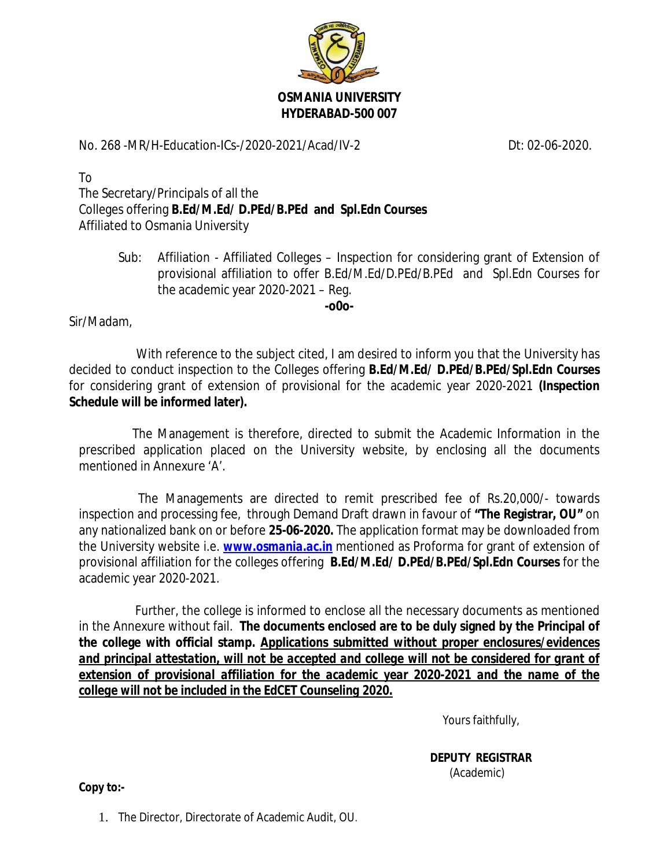

## No. 268 -MR/H-Education-ICs-/2020-2021/Acad/IV-2 Dt: 02-06-2020.

To The Secretary/Principals of all the Colleges offering **B.Ed/M.Ed/ D.PEd/B.PEd and Spl.Edn Courses** Affiliated to Osmania University

> Sub: Affiliation - Affiliated Colleges – Inspection for considering grant of Extension of provisional affiliation to offer B.Ed/M.Ed/D.PEd/B.PEd and Spl.Edn Courses for the academic year 2020-2021 – Reg.

> > **-o0o-**

Sir/Madam,

 With reference to the subject cited, I am desired to inform you that the University has decided to conduct inspection to the Colleges offering **B.Ed/M.Ed/ D.PEd/B.PEd/Spl.Edn Courses** for considering grant of extension of provisional for the academic year 2020-2021 **(Inspection Schedule will be informed later).**

 The Management is therefore, directed to submit the Academic Information in the prescribed application placed on the University website, by enclosing all the documents mentioned in Annexure 'A'.

 The Managements are directed to remit prescribed fee of Rs.20,000/- towards inspection and processing fee, through Demand Draft drawn in favour of **"The Registrar, OU"** on any nationalized bank on or before **25-06-2020.** The application format may be downloaded from the University website i.e. *www.osmania.ac.in* mentioned as Proforma for grant of extension of provisional affiliation for the colleges offering **B.Ed/M.Ed/ D.PEd/B.PEd/Spl.Edn Courses** for the academic year 2020-2021.

 Further, the college is informed to enclose all the necessary documents as mentioned in the Annexure without fail. **The documents enclosed are to be duly signed by the Principal of the college with official stamp.** *Applications submitted without proper enclosures/evidences*  and principal attestation, will not be accepted and college will not be considered for grant of extension of provisional affiliation for the academic year 2020-2021 and the name of the *college will not be included in the EdCET Counseling 2020.*

Yours faithfully,

 **DEPUTY REGISTRAR** (Academic)

**Copy to:-**

1. The Director, Directorate of Academic Audit, OU.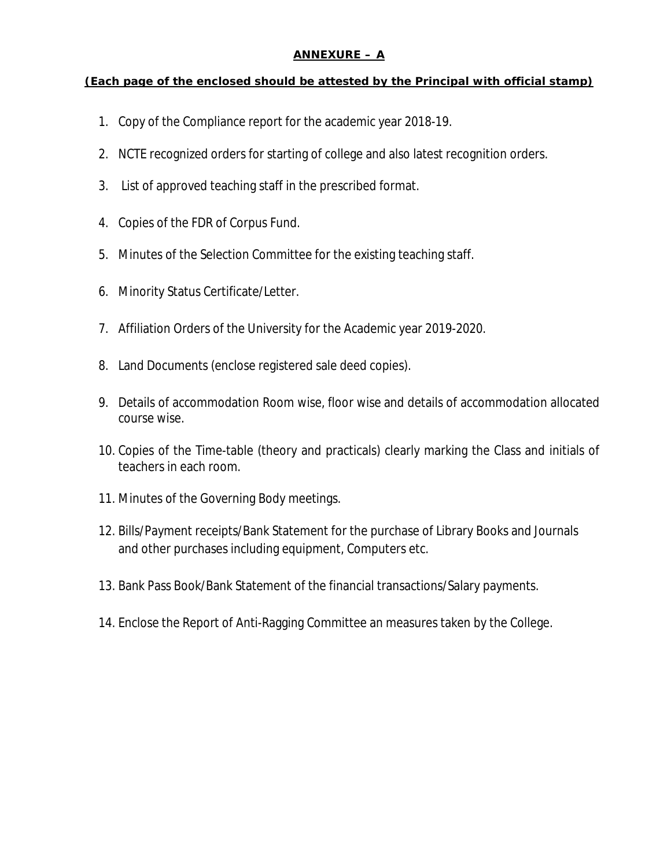## **ANNEXURE – A**

**(Each page of the enclosed should be attested by the Principal with official stamp)**

- 1. Copy of the Compliance report for the academic year 2018-19.
- 2. NCTE recognized orders for starting of college and also latest recognition orders.
- 3. List of approved teaching staff in the prescribed format.
- 4. Copies of the FDR of Corpus Fund.
- 5. Minutes of the Selection Committee for the existing teaching staff.
- 6. Minority Status Certificate/Letter.
- 7. Affiliation Orders of the University for the Academic year 2019-2020.
- 8. Land Documents (enclose registered sale deed copies).
- 9. Details of accommodation Room wise, floor wise and details of accommodation allocated course wise.
- 10. Copies of the Time-table (theory and practicals) clearly marking the Class and initials of teachers in each room.
- 11. Minutes of the Governing Body meetings.
- 12. Bills/Payment receipts/Bank Statement for the purchase of Library Books and Journals and other purchases including equipment, Computers etc.
- 13. Bank Pass Book/Bank Statement of the financial transactions/Salary payments.
- 14. Enclose the Report of Anti-Ragging Committee an measures taken by the College.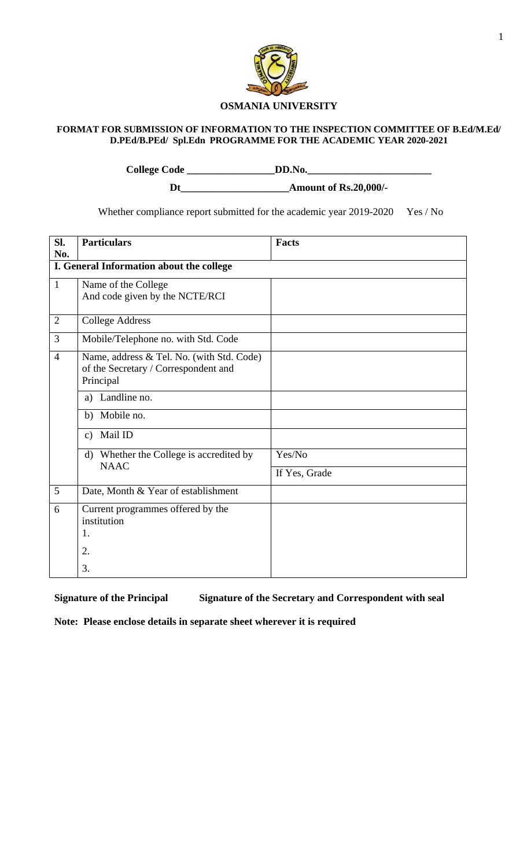

### **FORMAT FOR SUBMISSION OF INFORMATION TO THE INSPECTION COMMITTEE OF B.Ed/M.Ed/ D.PEd/B.PEd/ Spl.Edn PROGRAMME FOR THE ACADEMIC YEAR 2020-2021**

**College Code \_\_\_\_\_\_\_\_\_\_\_\_\_\_\_\_\_DD.No.\_\_\_\_\_\_\_\_\_\_\_\_\_\_\_\_\_\_\_\_\_\_\_\_** 

**Dt\_\_\_\_\_\_\_\_\_\_\_\_\_\_\_\_\_\_\_\_\_Amount of Rs.20,000/-**

Whether compliance report submitted for the academic year 2019-2020 Yes / No

| SI.<br>No.     | <b>Particulars</b>                                                                             | <b>Facts</b>  |
|----------------|------------------------------------------------------------------------------------------------|---------------|
|                | I. General Information about the college                                                       |               |
| $\mathbf{1}$   | Name of the College<br>And code given by the NCTE/RCI                                          |               |
| $\overline{2}$ | <b>College Address</b>                                                                         |               |
| $\overline{3}$ | Mobile/Telephone no. with Std. Code                                                            |               |
| $\overline{4}$ | Name, address & Tel. No. (with Std. Code)<br>of the Secretary / Correspondent and<br>Principal |               |
|                | Landline no.<br>a)                                                                             |               |
|                | Mobile no.<br>b)                                                                               |               |
|                | Mail ID<br>$\mathbf{c}$ )                                                                      |               |
|                | d) Whether the College is accredited by                                                        | Yes/No        |
|                | <b>NAAC</b>                                                                                    | If Yes, Grade |
| 5              | Date, Month & Year of establishment                                                            |               |
| 6              | Current programmes offered by the<br>institution<br>1.                                         |               |
|                | 2.                                                                                             |               |
|                | 3.                                                                                             |               |

**Signature of the Principal Signature of the Secretary and Correspondent with seal**

**Note: Please enclose details in separate sheet wherever it is required**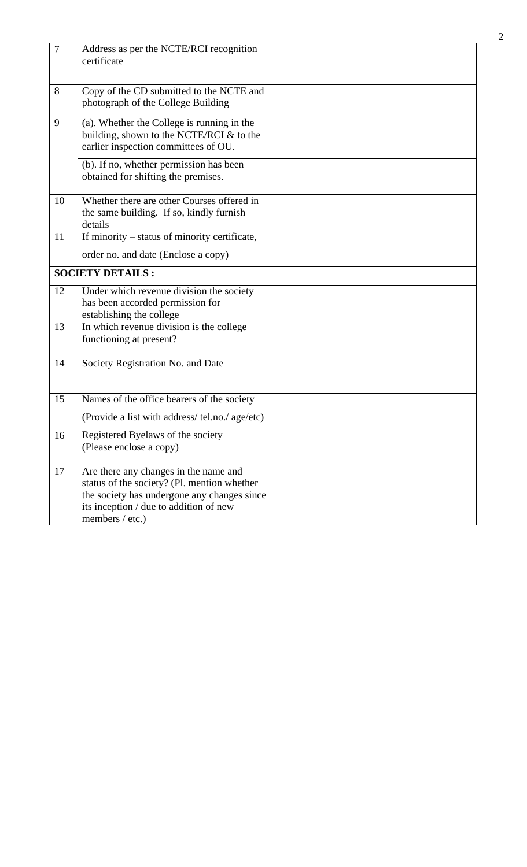| $\overline{7}$ | Address as per the NCTE/RCI recognition<br>certificate                                                                                                                                           |  |
|----------------|--------------------------------------------------------------------------------------------------------------------------------------------------------------------------------------------------|--|
| 8              | Copy of the CD submitted to the NCTE and<br>photograph of the College Building                                                                                                                   |  |
| 9              | (a). Whether the College is running in the<br>building, shown to the NCTE/RCI $&$ to the<br>earlier inspection committees of OU.                                                                 |  |
|                | (b). If no, whether permission has been<br>obtained for shifting the premises.                                                                                                                   |  |
| 10             | Whether there are other Courses offered in<br>the same building. If so, kindly furnish<br>details                                                                                                |  |
| 11             | If minority – status of minority certificate,<br>order no. and date (Enclose a copy)                                                                                                             |  |
|                | <b>SOCIETY DETAILS:</b>                                                                                                                                                                          |  |
| 12             | Under which revenue division the society<br>has been accorded permission for<br>establishing the college                                                                                         |  |
| 13             | In which revenue division is the college<br>functioning at present?                                                                                                                              |  |
| 14             | Society Registration No. and Date                                                                                                                                                                |  |
| 15             | Names of the office bearers of the society                                                                                                                                                       |  |
|                | (Provide a list with address/ tel.no./ age/etc)                                                                                                                                                  |  |
| 16             | Registered Byelaws of the society<br>(Please enclose a copy)                                                                                                                                     |  |
| 17             | Are there any changes in the name and<br>status of the society? (Pl. mention whether<br>the society has undergone any changes since<br>its inception / due to addition of new<br>members / etc.) |  |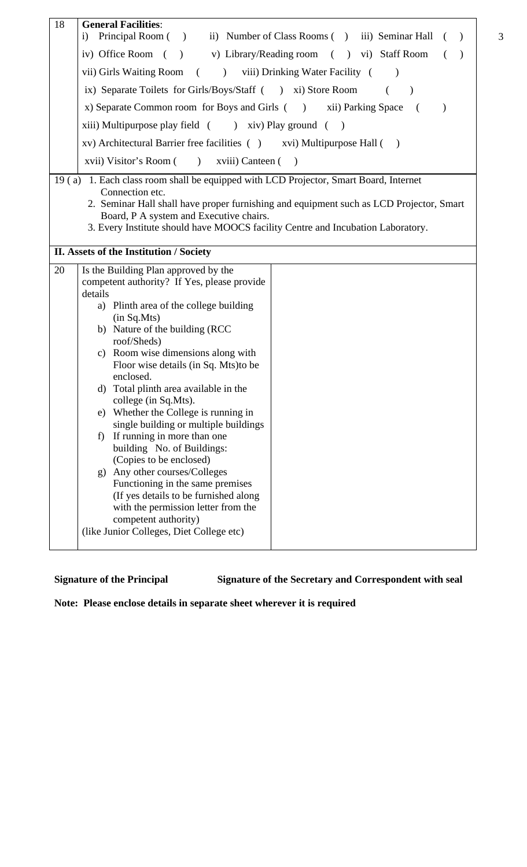| 18 | <b>General Facilities:</b>                                                                                                         |  |  |  |  |  |  |  |  |  |  |
|----|------------------------------------------------------------------------------------------------------------------------------------|--|--|--|--|--|--|--|--|--|--|
|    | Principal Room () ii) Number of Class Rooms () iii) Seminar Hall<br>$\mathbf{i}$                                                   |  |  |  |  |  |  |  |  |  |  |
|    | iv) Office Room ( ) v) Library/Reading room ( ) vi) Staff Room                                                                     |  |  |  |  |  |  |  |  |  |  |
|    | vii) Girls Waiting Room (<br>) viii) Drinking Water Facility (                                                                     |  |  |  |  |  |  |  |  |  |  |
|    | ix) Separate Toilets for Girls/Boys/Staff ( ) xi) Store Room                                                                       |  |  |  |  |  |  |  |  |  |  |
|    | x) Separate Common room for Boys and Girls ( ) xii) Parking Space<br>$\sqrt{ }$                                                    |  |  |  |  |  |  |  |  |  |  |
|    | xiii) Multipurpose play field ( ) xiv) Play ground ( )                                                                             |  |  |  |  |  |  |  |  |  |  |
|    | xv) Architectural Barrier free facilities () xvi) Multipurpose Hall ()                                                             |  |  |  |  |  |  |  |  |  |  |
|    | xviii) Visitor's Room ( ) xviii) Canteen (<br>$\rightarrow$                                                                        |  |  |  |  |  |  |  |  |  |  |
|    | 19 (a) 1. Each class room shall be equipped with LCD Projector, Smart Board, Internet                                              |  |  |  |  |  |  |  |  |  |  |
|    | Connection etc.                                                                                                                    |  |  |  |  |  |  |  |  |  |  |
|    | 2. Seminar Hall shall have proper furnishing and equipment such as LCD Projector, Smart<br>Board, P A system and Executive chairs. |  |  |  |  |  |  |  |  |  |  |
|    | 3. Every Institute should have MOOCS facility Centre and Incubation Laboratory.                                                    |  |  |  |  |  |  |  |  |  |  |
|    |                                                                                                                                    |  |  |  |  |  |  |  |  |  |  |
|    | II. Assets of the Institution / Society                                                                                            |  |  |  |  |  |  |  |  |  |  |
| 20 | Is the Building Plan approved by the                                                                                               |  |  |  |  |  |  |  |  |  |  |
|    | competent authority? If Yes, please provide                                                                                        |  |  |  |  |  |  |  |  |  |  |
|    | details                                                                                                                            |  |  |  |  |  |  |  |  |  |  |
|    | a) Plinth area of the college building                                                                                             |  |  |  |  |  |  |  |  |  |  |
|    | (in Sq.Mts)<br>b) Nature of the building (RCC                                                                                      |  |  |  |  |  |  |  |  |  |  |
|    | roof/Sheds)                                                                                                                        |  |  |  |  |  |  |  |  |  |  |
|    | c) Room wise dimensions along with                                                                                                 |  |  |  |  |  |  |  |  |  |  |
|    | Floor wise details (in Sq. Mts) to be                                                                                              |  |  |  |  |  |  |  |  |  |  |
|    | enclosed.                                                                                                                          |  |  |  |  |  |  |  |  |  |  |
|    | d) Total plinth area available in the                                                                                              |  |  |  |  |  |  |  |  |  |  |
|    | college (in Sq.Mts).                                                                                                               |  |  |  |  |  |  |  |  |  |  |
|    | e) Whether the College is running in<br>single building or multiple buildings                                                      |  |  |  |  |  |  |  |  |  |  |
|    | If running in more than one<br>f)                                                                                                  |  |  |  |  |  |  |  |  |  |  |
|    | building No. of Buildings:                                                                                                         |  |  |  |  |  |  |  |  |  |  |
|    | (Copies to be enclosed)                                                                                                            |  |  |  |  |  |  |  |  |  |  |
|    | g) Any other courses/Colleges                                                                                                      |  |  |  |  |  |  |  |  |  |  |
|    | Functioning in the same premises                                                                                                   |  |  |  |  |  |  |  |  |  |  |
|    | (If yes details to be furnished along                                                                                              |  |  |  |  |  |  |  |  |  |  |
|    | with the permission letter from the<br>competent authority)                                                                        |  |  |  |  |  |  |  |  |  |  |
|    | (like Junior Colleges, Diet College etc)                                                                                           |  |  |  |  |  |  |  |  |  |  |
|    |                                                                                                                                    |  |  |  |  |  |  |  |  |  |  |

**Signature of the Principal Signature of the Secretary and Correspondent with seal**

**Note: Please enclose details in separate sheet wherever it is required**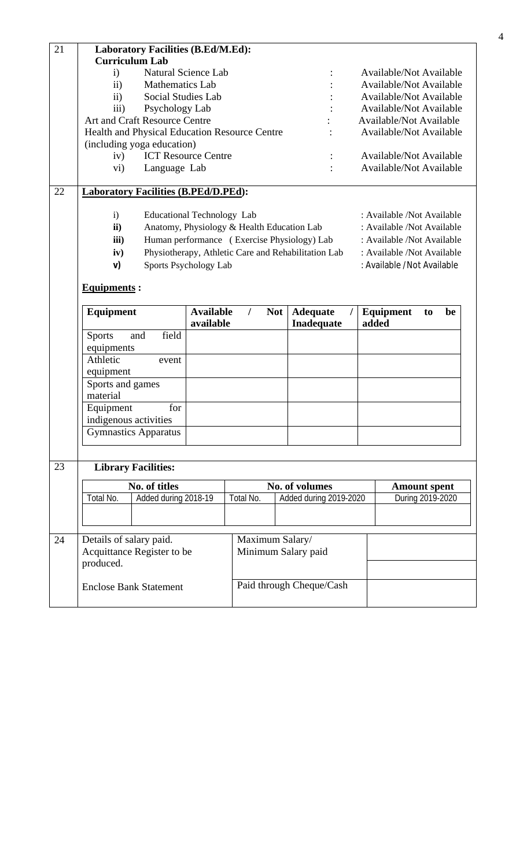| 21 |                    | <b>Laboratory Facilities (B.Ed/M.Ed):</b>            |                            |                                |  |  |  |  |  |  |  |
|----|--------------------|------------------------------------------------------|----------------------------|--------------------------------|--|--|--|--|--|--|--|
|    |                    | <b>Curriculum Lab</b>                                |                            |                                |  |  |  |  |  |  |  |
|    | $\mathbf{i}$       | Natural Science Lab                                  |                            | <b>Available/Not Available</b> |  |  |  |  |  |  |  |
|    | $\mathbf{ii}$      | <b>Mathematics Lab</b>                               |                            | <b>Available/Not Available</b> |  |  |  |  |  |  |  |
|    | $\mathbf{ii}$      | Social Studies Lab                                   |                            | <b>Available/Not Available</b> |  |  |  |  |  |  |  |
|    | iii)               | Psychology Lab                                       |                            | <b>Available/Not Available</b> |  |  |  |  |  |  |  |
|    |                    | <b>Art and Craft Resource Centre</b>                 |                            | <b>Available/Not Available</b> |  |  |  |  |  |  |  |
|    |                    | <b>Health and Physical Education Resource Centre</b> |                            | <b>Available/Not Available</b> |  |  |  |  |  |  |  |
|    |                    | (including yoga education)                           |                            |                                |  |  |  |  |  |  |  |
|    | iv)                | <b>ICT Resource Centre</b>                           | $\ddot{\phantom{a}}$       | <b>Available/Not Available</b> |  |  |  |  |  |  |  |
|    | $\rm{vi})$         | Language Lab                                         |                            | <b>Available/Not Available</b> |  |  |  |  |  |  |  |
| 22 |                    | <b>Laboratory Facilities (B.PEd/D.PEd):</b>          |                            |                                |  |  |  |  |  |  |  |
|    | $\mathbf{i}$       | Educational Technology Lab                           |                            | : Available /Not Available     |  |  |  |  |  |  |  |
|    | $\mathbf{ii}$      | Anatomy, Physiology & Health Education Lab           |                            | : Available /Not Available     |  |  |  |  |  |  |  |
|    | iii)               | Human performance (Exercise Physiology) Lab          | : Available /Not Available |                                |  |  |  |  |  |  |  |
|    | iv)                | Physiotherapy, Athletic Care and Rehabilitation Lab  |                            | : Available /Not Available     |  |  |  |  |  |  |  |
|    | V)                 | Sports Psychology Lab                                |                            | : Available / Not Available    |  |  |  |  |  |  |  |
|    | <b>Equipments:</b> |                                                      |                            |                                |  |  |  |  |  |  |  |

#### **Equipment Available / Not available Adequate / Inadequate Equipment to be added** Sports and field equipments Athletic event equipment Sports and games material Equipment for indigenous activities Gymnastics Apparatus

# 23 **Library Facilities:**

|           |                      |                                                                                                         |                        | <b>Amount spent</b>                                                                  |  |  |  |
|-----------|----------------------|---------------------------------------------------------------------------------------------------------|------------------------|--------------------------------------------------------------------------------------|--|--|--|
| Total No. | Added during 2018-19 | Total No.                                                                                               | Added during 2019-2020 | During 2019-2020                                                                     |  |  |  |
|           |                      |                                                                                                         |                        |                                                                                      |  |  |  |
|           |                      |                                                                                                         |                        |                                                                                      |  |  |  |
| produced. |                      |                                                                                                         |                        |                                                                                      |  |  |  |
|           |                      |                                                                                                         |                        |                                                                                      |  |  |  |
|           |                      | No. of titles<br>Details of salary paid.<br>Acquittance Register to be<br><b>Enclose Bank Statement</b> |                        | No. of volumes<br>Maximum Salary/<br>Minimum Salary paid<br>Paid through Cheque/Cash |  |  |  |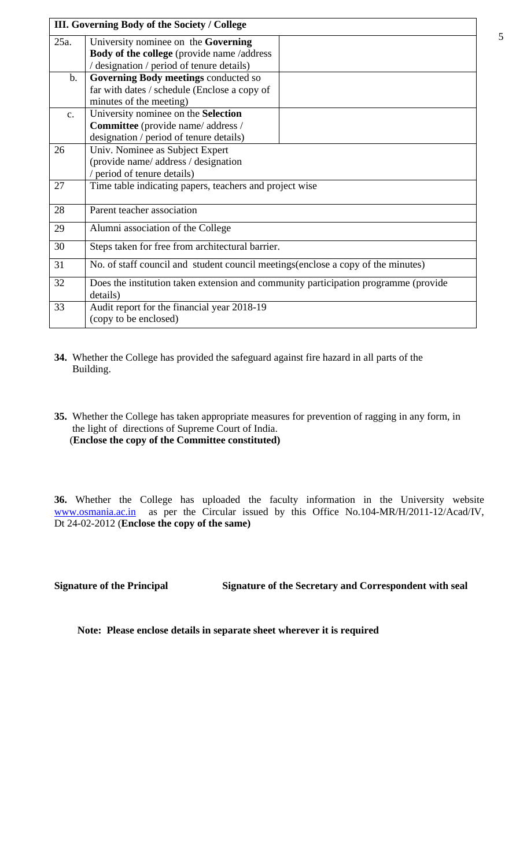|               | III. Governing Body of the Society / College                                        |  |  |  |  |  |  |  |
|---------------|-------------------------------------------------------------------------------------|--|--|--|--|--|--|--|
| 25a.          | University nominee on the Governing                                                 |  |  |  |  |  |  |  |
|               | Body of the college (provide name /address                                          |  |  |  |  |  |  |  |
|               | / designation / period of tenure details)                                           |  |  |  |  |  |  |  |
| $\mathbf b$ . | Governing Body meetings conducted so                                                |  |  |  |  |  |  |  |
|               | far with dates / schedule (Enclose a copy of                                        |  |  |  |  |  |  |  |
|               | minutes of the meeting)                                                             |  |  |  |  |  |  |  |
| $C_{\bullet}$ | University nominee on the Selection                                                 |  |  |  |  |  |  |  |
|               | Committee (provide name/ address /                                                  |  |  |  |  |  |  |  |
|               | designation / period of tenure details)                                             |  |  |  |  |  |  |  |
| 26            | Univ. Nominee as Subject Expert                                                     |  |  |  |  |  |  |  |
|               | (provide name/address/designation                                                   |  |  |  |  |  |  |  |
|               | / period of tenure details)                                                         |  |  |  |  |  |  |  |
| 27            | Time table indicating papers, teachers and project wise                             |  |  |  |  |  |  |  |
| 28            | Parent teacher association                                                          |  |  |  |  |  |  |  |
| 29            | Alumni association of the College                                                   |  |  |  |  |  |  |  |
| 30            | Steps taken for free from architectural barrier.                                    |  |  |  |  |  |  |  |
| 31            | No. of staff council and student council meetings (enclose a copy of the minutes)   |  |  |  |  |  |  |  |
| 32            | Does the institution taken extension and community participation programme (provide |  |  |  |  |  |  |  |
|               | details)                                                                            |  |  |  |  |  |  |  |
| 33            | Audit report for the financial year 2018-19                                         |  |  |  |  |  |  |  |
|               | (copy to be enclosed)                                                               |  |  |  |  |  |  |  |

- **34.** Whether the College has provided the safeguard against fire hazard in all parts of the Building.
- **35.** Whether the College has taken appropriate measures for prevention of ragging in any form, in the light of directions of Supreme Court of India. (**Enclose the copy of the Committee constituted)**

**36.** Whether the College has uploaded the faculty information in the University website www.osmania.ac.in as per the Circular issued by this Office No.104-MR/H/2011-12/Acad/IV, Dt 24-02-2012 (**Enclose the copy of the same)**

**Signature of the Principal Signature of the Secretary and Correspondent with seal**

**Note: Please enclose details in separate sheet wherever it is required**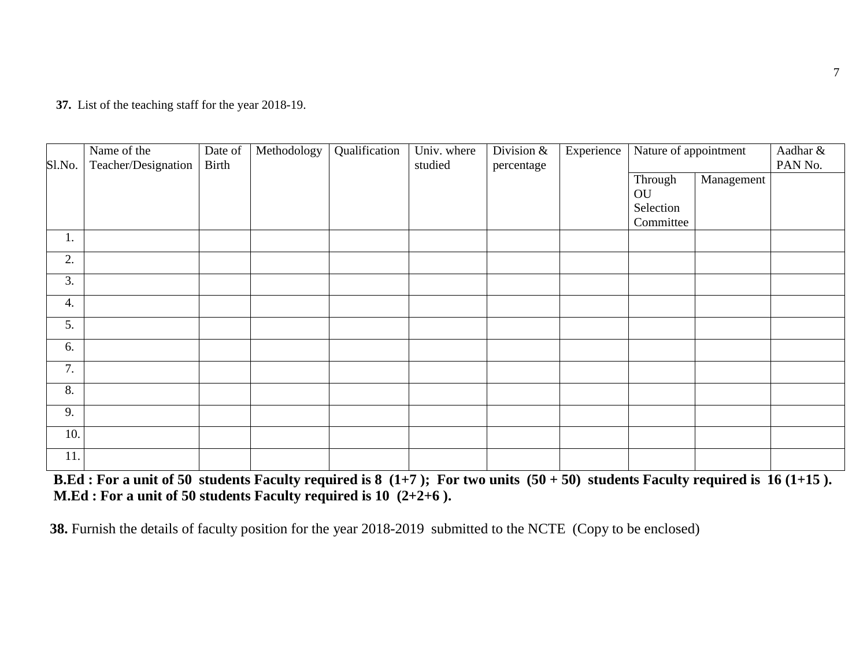**37.** List of the teaching staff for the year 2018-19.

| Sl.No. | Name of the<br>Teacher/Designation | Date of<br>Birth | Methodology | Qualification | Univ. where<br>studied | Division &<br>percentage | Experience | Nature of appointment  |            | Aadhar &<br>PAN No. |
|--------|------------------------------------|------------------|-------------|---------------|------------------------|--------------------------|------------|------------------------|------------|---------------------|
|        |                                    |                  |             |               |                        |                          |            | Through<br>OU          | Management |                     |
|        |                                    |                  |             |               |                        |                          |            | Selection<br>Committee |            |                     |
| 1.     |                                    |                  |             |               |                        |                          |            |                        |            |                     |
| 2.     |                                    |                  |             |               |                        |                          |            |                        |            |                     |
| 3.     |                                    |                  |             |               |                        |                          |            |                        |            |                     |
| 4.     |                                    |                  |             |               |                        |                          |            |                        |            |                     |
| 5.     |                                    |                  |             |               |                        |                          |            |                        |            |                     |
| 6.     |                                    |                  |             |               |                        |                          |            |                        |            |                     |
| 7.     |                                    |                  |             |               |                        |                          |            |                        |            |                     |
| 8.     |                                    |                  |             |               |                        |                          |            |                        |            |                     |
| 9.     |                                    |                  |             |               |                        |                          |            |                        |            |                     |
| 10.    |                                    |                  |             |               |                        |                          |            |                        |            |                     |
| 11.    |                                    |                  |             |               |                        |                          |            |                        |            |                     |

 **B.Ed : For a unit of 50 students Faculty required is 8 (1+7 ); For two units (50 + 50) students Faculty required is 16 (1+15 ). M.Ed : For a unit of 50 students Faculty required is 10 (2+2+6 ).** 

**38.** Furnish the details of faculty position for the year 2018-2019 submitted to the NCTE (Copy to be enclosed)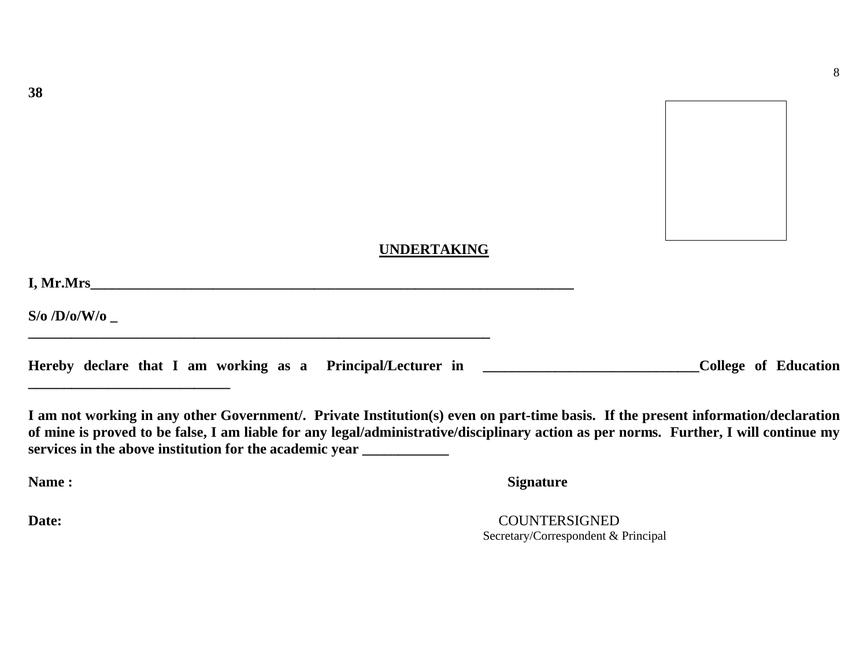8

## **UNDERTAKING**

| I, Mr.Mrs              |  |  |
|------------------------|--|--|
| $S$ /0 /D/0/W/0 $_{-}$ |  |  |
|                        |  |  |

|  |  |  |  |  |  |  | Hereby declare that I am working as a Principal/Lecturer in |  |  |  |  | College of Education |
|--|--|--|--|--|--|--|-------------------------------------------------------------|--|--|--|--|----------------------|
|--|--|--|--|--|--|--|-------------------------------------------------------------|--|--|--|--|----------------------|

**I am not working in any other Government/. Private Institution(s) even on part-time basis. If the present information/declaration of mine is proved to be false, I am liable for any legal/administrative/disciplinary action as per norms. Further, I will continue my services in the above institution for the academic year \_\_\_\_\_\_\_\_\_\_\_\_**

**\_\_\_\_\_\_\_\_\_\_\_\_\_\_\_\_\_\_\_\_\_\_\_\_\_\_\_\_**

**Name :** Signature

**Date:** COUNTERSIGNED Secretary/Correspondent & Principal